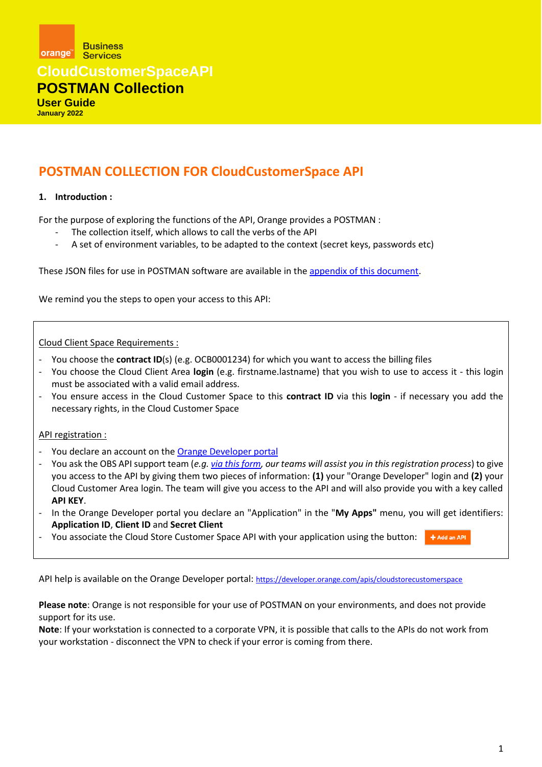**Business** orange<sup>"</sup> Services

**CloudCustomerSpaceAPI**

### **POSTMAN Collection**

**User Guide January 2022**

### **POSTMAN COLLECTION FOR CloudCustomerSpace API**

### **1. Introduction :**

For the purpose of exploring the functions of the API, Orange provides a POSTMAN :

- The collection itself, which allows to call the verbs of the API
- A set of environment variables, to be adapted to the context (secret keys, passwords etc)

These JSON files for use in POSTMAN software are available in the [appendix of this document.](#page-4-0)

We remind you the steps to open your access to this API:

Cloud Client Space Requirements :

- You choose the **contract ID**(s) (e.g. OCB0001234) for which you want to access the billing files
- You choose the Cloud Client Area **login** (e.g. firstname.lastname) that you wish to use to access it this login must be associated with a valid email address.
- You ensure access in the Cloud Customer Space to this **contract ID** via this **login**  if necessary you add the necessary rights, in the Cloud Customer Space

API registration :

- You declare an account on the [Orange Developer portal](https://developer.orange.com/)
- You ask the OBS API support team (*e.g[. via this form,](https://cloud.orange-business.com/offres/infrastructure-iaas/flexible-engine/assistance-flexible-engine/faq-flexible-engine/contact-faq/) our teams will assist you in this registration process*) to give you access to the API by giving them two pieces of information: **(1)** your "Orange Developer" login and **(2)** your Cloud Customer Area login. The team will give you access to the API and will also provide you with a key called **API KEY**.
- In the Orange Developer portal you declare an "Application" in the "**My Apps"** menu, you will get identifiers: **Application ID**, **Client ID** and **Secret Client**
- You associate the Cloud Store Customer Space API with your application using the button:  $+$  Add an API

API help is available on the Orange Developer portal: <https://developer.orange.com/apis/cloudstorecustomerspace>

**Please note**: Orange is not responsible for your use of POSTMAN on your environments, and does not provide support for its use.

**Note**: If your workstation is connected to a corporate VPN, it is possible that calls to the APIs do not work from your workstation - disconnect the VPN to check if your error is coming from there.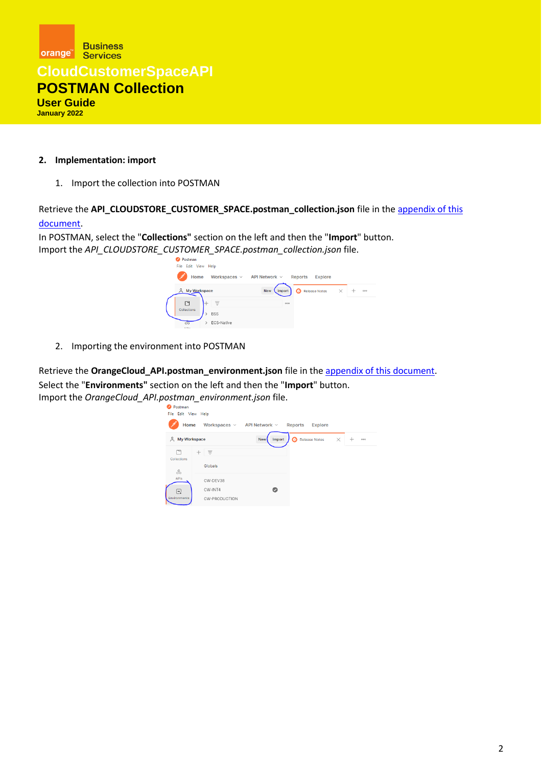

#### **2. Implementation: import**

1. Import the collection into POSTMAN

Retrieve the **API\_CLOUDSTORE\_CUSTOMER\_SPACE.postman\_collection.json** file in th[e appendix of this](#page-4-0)  [document.](#page-4-0)

In POSTMAN, select the "**Collections"** section on the left and then the "**Import**" button. Import the *API\_CLOUDSTORE\_CUSTOMER\_SPACE.postman\_collection.json* file.



2. Importing the environment into POSTMAN

Retrieve the **OrangeCloud\_API.postman\_environment.json** file in th[e appendix of this document.](#page-4-0) Select the "**Environments"** section on the left and then the "**Import**" button. Import the *OrangeCloud\_API.postman\_environment.json* file.

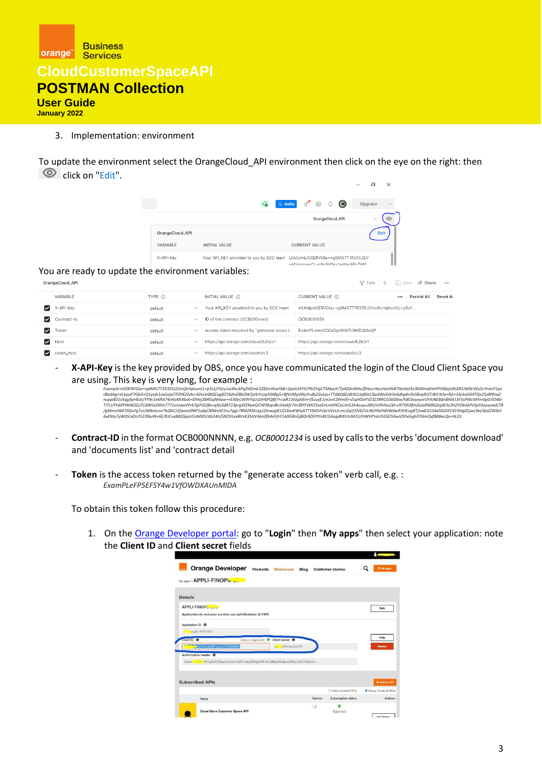

### **User Guide**

**January 2022**

#### 3. Implementation: environment

To update the environment select the OrangeCloud\_API environment then click on the eye on the right: then click on "Edit".

|                 |                                                                                |                                                                        | X<br>巾                  |
|-----------------|--------------------------------------------------------------------------------|------------------------------------------------------------------------|-------------------------|
|                 | ♤                                                                              | $\alpha_{\rm sp}$<br>$\ddot{\mathbf{C}}$<br>¢<br>♤<br>$\lambda$ Invite | Upgrade<br>$\checkmark$ |
|                 |                                                                                | OrangeCloud_API                                                        | ෬<br>$\checkmark$       |
| OrangeCloud_API |                                                                                |                                                                        | Edit                    |
| VARIABLE        | <b>INITIAL VALUE</b>                                                           | <b>CURRENT VALUE</b>                                                   |                         |
| X-API-Key       | Your API_KEY provided to you by ECC team LUdUimLtO0ERVGla++g6MG7T1R355J2V<br>. | snfzrtalvunCl +n5s1iYQrv1wXhcAPa7t6S                                   |                         |

#### You are ready to update the environment variables:

| V <sub>r</sub> Fork   0   Save <b>A</b> Share ••••<br>OrangeCloud_API |                 |                         |                                            |                                                  |     |                    |                 |
|-----------------------------------------------------------------------|-----------------|-------------------------|--------------------------------------------|--------------------------------------------------|-----|--------------------|-----------------|
|                                                                       | <b>VARIABLE</b> | TYPE (i)                | <b>INITIAL VALUE A</b>                     | <b>CURRENT VALUE (1)</b>                         | 000 | <b>Persist All</b> | <b>Reset AI</b> |
| ☑                                                                     | X-API-Key       | default<br>$\checkmark$ | Your API_KEY provided to you by ECC team   | eXAMple0ERVGla++q6MG7T1R355J2VsnfzrtqlvunCL+p5s1 |     |                    |                 |
| ☑                                                                     | Contract-Id     | default<br>$\checkmark$ | ID of the contract (OCB000xxxx)            | OCB0001656                                       |     |                    |                 |
| ☑                                                                     | <b>Token</b>    | default<br>$\checkmark$ | access token returned by "generate acces t | ExAmPLewvCC0aGprWW7c9KIDQMsQP                    |     |                    |                 |
| ☑                                                                     | Host            | default<br>$\checkmark$ | https://api.orange.com/cloud/b2b/v1        | https://api.orange.com/cloud/b2b/v1              |     |                    |                 |
|                                                                       | oauth_host      | default<br>$\checkmark$ | https://api.orange.com/oauth/v3            | https://api.orange.com/oauth/v3                  |     |                    |                 |

- **X-API-Key** is the key provided by OBS, once you have communicated the login of the Cloud Client Space you are using. This key is very long, for example :

Example+tO0ERVGla++g6MG7T1R355J2VsnfzrtqIvunCL+p5s1jYQry1wXhcAPqZt6SmL5Z8SinWwYbB+2qoILKtFtCP9rZVgCTMAazF/Tp8ZdvWHuZfHzu+NzoHatFkiKT6nHoFkc96WmdtVnPFtKBzjURvDEUW9cVEx5cYninrF1ps<br>rBadAg+VLkpuP7GbG+Q1yvjk1osGajaTPZHEZAAs+9Ze nupp8D1xXqg9pHEat/YY9c1e6RA74nKoKK4bs6+I0Hej2BRGqNHaw++EX0eLW9YYqUsDH6PQBf7+cwR13GIpAXm+fScuyE1reJsnC0HmXt+ZsqHDxYVZ3Z3RRCG5bD6w/h8C6vyxyxrUFAiNE8dnBNrEt3F5sPWcMYer0pGVO46r<br>TITU/Fh6XPtM4OZuTCdWGeD0m7771vJvwoVPrk7giFGQ8v+qN /gMmsIW67DZuFg7uUW8mLrnrTbQhCJ1fwstv0NlP1zdqCMWvXF2ru7qgL7RMZKNUzg1DnwzglELGCbluKWty6TTY9J0iFv6zVvvULmU2qrf1lVD/Uc9GFRePdHWdwR3HCvgRT/xwEQ154d5IGDFC6TXHgZGjwL9ez5bsIZWJkV<br>6xKMy7yW05LxDr/IS23I6ulN+6E/RJCxxB8QSpqVCeMXD/dG24h

- **Contract-ID** in the format OCB000NNNN, e.g. *OCB0001234* is used by calls to the verbs 'document download' and 'documents list' and 'contract detail
- **Token** is the access token returned by the "generate access token" verb call, e.g. : *ExamPLeFP5EFSY4w1VfOWDXAUnMlDA*

To obtain this token follow this procedure:

1. On the [Orange Developer portal:](https://developer.orange.com/) go to "**Login**" then "**My apps**" then select your application: note the **Client ID** and **Client secret** fields

|                                                                                                                    |                  |                            |      |         |                         | ----               |
|--------------------------------------------------------------------------------------------------------------------|------------------|----------------------------|------|---------|-------------------------|--------------------|
| <b>Orange Developer</b>                                                                                            | Products         | Resources                  | Blog |         | <b>Customer stories</b> | <b>Thinly apps</b> |
| My 8009 > APPLI-FINOPS                                                                                             |                  |                            |      |         |                         |                    |
| <b>Details</b>                                                                                                     |                  |                            |      |         |                         |                    |
| APPLI-FINOPS 200<br>Application de test pour accéder aux spécifications de l'API.                                  |                  |                            |      |         |                         | Edit               |
| Application ID <sup>6</sup><br>tvg3ur4YX1dH1                                                                       |                  |                            |      |         |                         |                    |
| Client ID <sup>O</sup>                                                                                             | Status: Approved | Client secret <sup>6</sup> |      |         |                         | Hide               |
| MeYZxJ8qRfCquvJCYzAX9HPo                                                                                           |                  | <b>COWOrsuDaT3T</b><br>io. |      |         |                         | Renew              |
| Authorization header <sup>6</sup><br>-www.4VCaXU0ZVlaeEo4cVJmQ3F1dkpDWXpBWDIIUQ86ajNCckcwV09yc3VEYVQzVA==<br>Basic |                  |                            |      |         |                         |                    |
|                                                                                                                    |                  |                            |      |         |                         |                    |
| <b>Subscribed APIs</b>                                                                                             |                  |                            |      |         |                         | + Add an API       |
|                                                                                                                    |                  |                            |      |         | C Hide revoked APIs     | Show revoked APIs  |
| Name                                                                                                               |                  |                            |      | Version | Subscription status     | Actions            |
| <b>Cloud Store Customer Space API</b>                                                                              |                  |                            |      | 1.2     | Approved                |                    |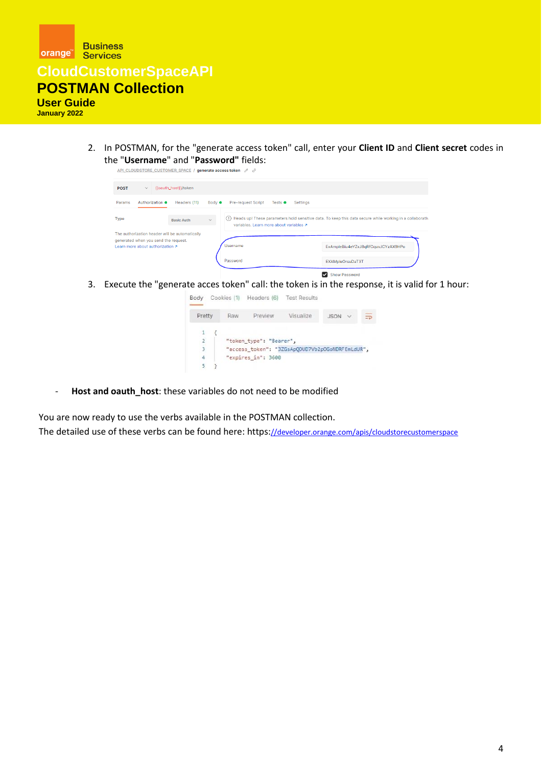

2. In POSTMAN, for the "generate access token" call, enter your **Client ID** and **Client secret** codes in the "**Username**" and "**Password"** fields:



3. Execute the "generate acces token" call: the token is in the response, it is valid for 1 hour:

| Body          |     | Cookies (1) Headers (6) | <b>Test Results</b>                             |                          |          |
|---------------|-----|-------------------------|-------------------------------------------------|--------------------------|----------|
| Pretty        | Raw | Preview                 | Visualize                                       | <b>JSON</b><br>$\ddot{}$ | $\equiv$ |
|               |     |                         |                                                 |                          |          |
| $\frac{2}{3}$ |     | "token_type": "Bearer", |                                                 |                          |          |
|               |     |                         | "access_token": "3ZGsApQDUD7Vb2pOGoNDRFEmLdUR", |                          |          |
| 4             |     | "expires in": 3600      |                                                 |                          |          |
| 5             |     |                         |                                                 |                          |          |

- **Host and oauth\_host**: these variables do not need to be modified

You are now ready to use the verbs available in the POSTMAN collection. The detailed use of these verbs can be found here: https:[//developer.orange.com/apis/cloudstorecustomerspace](https://developer.orange.com/apis/cloudstorecustomerspace)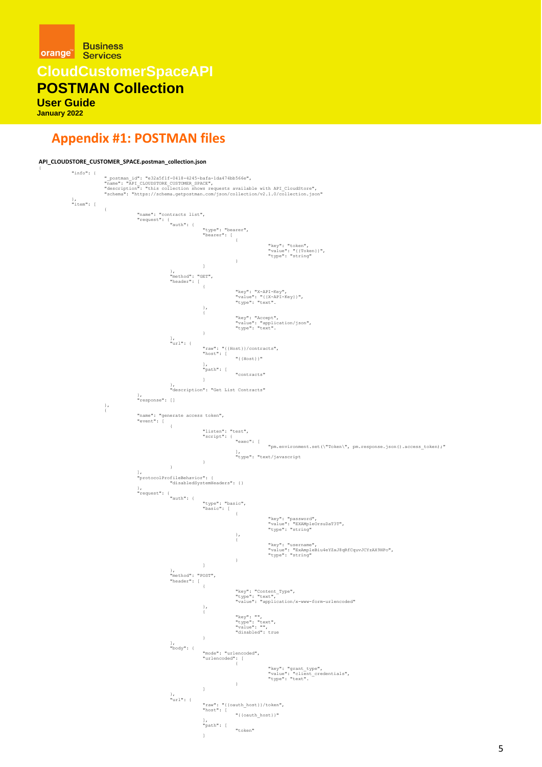**Business** orange **Services** 

**CloudCustomerSpaceAPI**

**POSTMAN Collection** 

**User Guide**

**January 2022**

### <span id="page-4-0"></span>**Appendix #1: POSTMAN files**

```
API_CLOUDSTORE_CUSTOMER_SPACE.postman_collection.json
 {
                     "info": {
                                            "_postman_id": "e32a5f1f-0418-4245-bafa-1da474bb566e",<br>"name": "API CLOUDSTORE CUSTOMER_SPACE",<br>"description": "this collection shows requests available with API_CloudStore",<br>"schema": "https://schema.getpostman.com/json/c
                      },
"item": [
                                           \overline{1}"name": "contracts list",
"request": {
"auth": {
                                                                                                             "type": "bearer",
"bearer": [
                                                                                                                                 \bar{\mathrm{t}}"key": "token",
"value": "{{Token}}",
"type": "string"
                                                                                                                                 }
                                                                                                           \bar{1}},
"method": "GET",
"header": [
                                                                                                           {
                                                                                                                                  "key": "X-API-Key",
"value": "{{X-API-Key}}",
"type": "text".
                                                                                                            },
                                                                                                            \cdot"key": "Accept",
"value": "application/json",
"type": "text".
                                                                                                           }
                                                                                       ],
"url": {
                                                                                                             "raw": "{{Host}}/contracts",
"host": [
                                                                                                                               "{{Host}}"
                                                                                                             ],
"path": [
"contracts"
]
                                                                                       },
"description": "Get List Contracts"
                                                                 },
"response": []
                                            },
{
                                                                 "name": "generate access token",
"event": [
                                                                                      \pm"listen": "test",<br>"script": {<br>"exec": ["pm.environment.set(\"Token\", pm.response.json().access_token);"<br>"type": "text/javascript<br>}
                                                                                      \overline{1}],
"protocolProfileBehavior": {
"disabledSystemHeaders": {}
                                                                 },
"request": {
"auth": {
"type": "basic",
"basic": [
{
                                                                                                                                                        "key": "password",
"value": "EXAMpleOrsuDaT3T",
"type": "string"
                                                                                                                                  },
{
                                                                                                                                                        "key": "username",
"value": "ExAmpleBiu4eYZxJ8qRfCquvJCYzAX9HPo",
"type": "string"
                                                                                                                                 }
                                                                                                           \bar{1}},
"method": "POST",
"header": [
                                                                                                           \overline{1}"key": "Content_Type",
"type": "text",
"value": "application/x-www-form-urlencoded"
                                                                                                             },
{
                                                                                                                                  "key": "",
"type": "text",
"value": "",
"disabled": true
                                                                                                           }
                                                                                       ],
"body": {
                                                                                                            "mode": "urlencoded",
                                                                                                            "urlencoded": [
                                                                                                                                  {
                                                                                                                                                        "key": "grant_type",
"value": "client_credentials",
"type": "text".
                                                                                                                                 }
                                                                                                           ]
                                                                                       },
"url": {
                                                                                                             "raw": "{{oauth_host}}/token",
"host": [
"{{oauth_host}}"
                                                                                                             ],
"path": [
"token"
]
```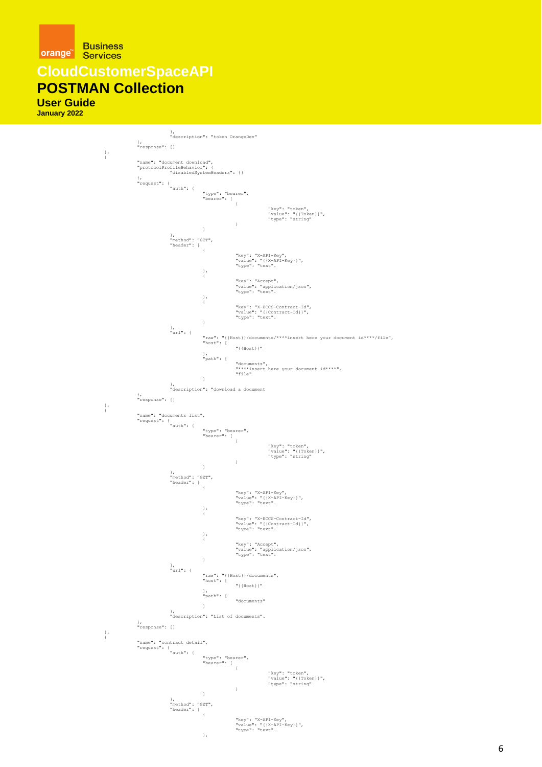

**CloudCustomerSpaceAPI**

### **POSTMAN Collection**

**User Guide January 2022**

> }, "description": "token OrangeDev" }, "response": [] }, { "name": "document download", "protocolProfileBehavior": { "disabledSystemHeaders": {} }, "request": { "auth": { "type": "bearer", "bearer": [ { "key": "token", "value": "{{Token}}", "type": "string" }  $\,$   $\,$   $\,$ }, "method": "GET", "header": [ { "key": "X-API-Key", "value": "{{X-API-Key}}", "type": "text". }, { "key": "Accept", "value": "application/json", "type": "text". }, { "key": "X-ECCS-Contract-Id", "value": "{{Contract-Id}}", "type": "text". } ], "url": { "raw": "{{Host}}/documents/\*\*\*\*insert here your document id\*\*\*\*/file",<br>"host": [<br>"{{Host}}" ], "path": [ "documents", "\*\*\*\*insert here your document id\*\*\*\*", "file"  $\overline{1}$ }, "description": "download a document }, "response": [] }, { "name": "documents list", "request": { "auth": { "type": "bearer", "bearer": [ { "key": "token", "value": "{{Token}}", "type": "string" }  $\,$   $\,$   $\,$ }, "method": "GET", "header": [ { "key": "X-API-Key", "value": "{{X-API-Key}}", "type": "text". }, { "key": "X-ECCS-Contract-Id", "value": "{{Contract-Id}}", "type": "text". }, { "key": "Accept", "value": "application/json", "type": "text". } ], "url": { "raw": "{{Host}}/documents", "host": [ "{{Host}}" ], "path": [ "documents"  $\mathbf{I}$ }, "description": "List of documents". }, "response": [] }, { "name": "contract detail",<br>"request": {<br>"auth": {<br>"type": "bearer",<br>[ "key": "token", "value": "{{Token}}", "type": "string" }  $\overline{1}$ }, "method": "GET", "header": [  $\left\{ \right.$ "key": "X-API-Key", "value": "{{X-API-Key}}", "type": "text". },